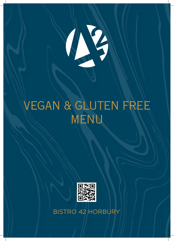

# VEGAN & GLUTEN FREE MENU



BISTRO 42 HORBURY